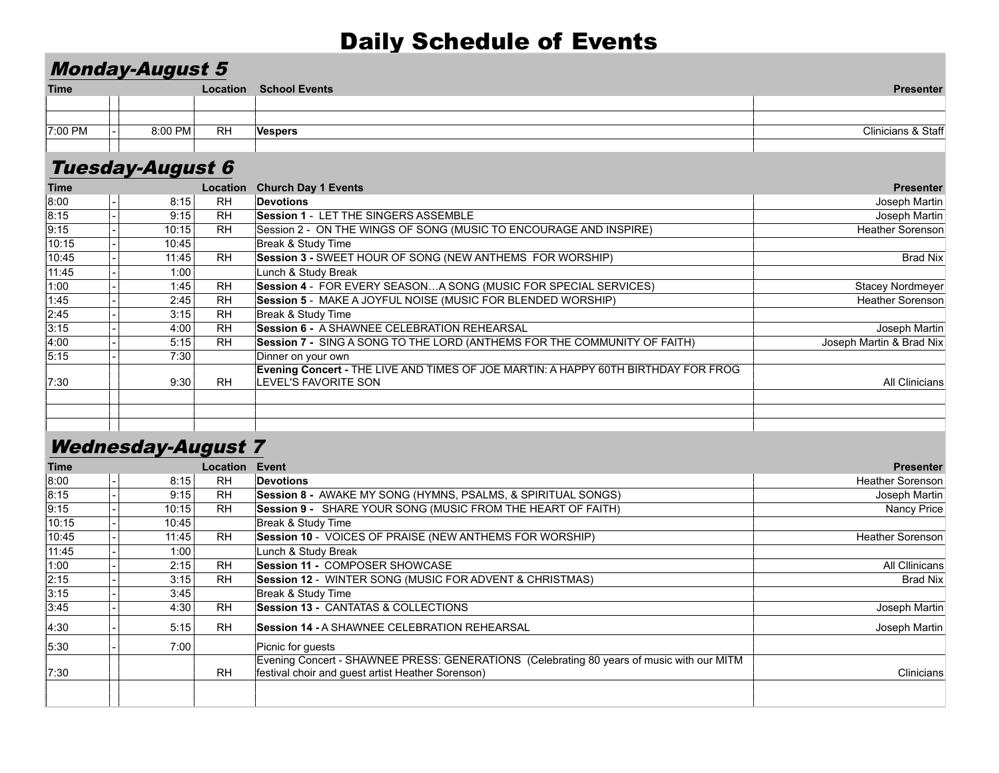### Daily Schedule of Events

#### Monday-August 5

| <b>Time</b> |         | Location  | <b>School Events</b> | Presenter           |
|-------------|---------|-----------|----------------------|---------------------|
|             |         |           |                      |                     |
|             |         |           |                      |                     |
| 7:00 PM     | 8:00 PM | <b>RH</b> |                      | Clinicians<br>Staff |
|             |         |           |                      |                     |

# Tuesday-August 6

| <b>Time</b> |       | Location  | <b>Church Day 1 Events</b>                                                                                        | <b>Presenter</b>         |
|-------------|-------|-----------|-------------------------------------------------------------------------------------------------------------------|--------------------------|
| 8:00        | 8:15  | <b>RH</b> | <b>Devotions</b>                                                                                                  | Joseph Martin            |
| 8:15        | 9:15  | <b>RH</b> | Session 1 - LET THE SINGERS ASSEMBLE                                                                              | Joseph Martin            |
| 9:15        | 10:15 | <b>RH</b> | Session 2 - ON THE WINGS OF SONG (MUSIC TO ENCOURAGE AND INSPIRE)                                                 | Heather Sorenson         |
| 10:15       | 10:45 |           | Break & Study Time                                                                                                |                          |
| 10:45       | 11:45 | <b>RH</b> | Session 3 - SWEET HOUR OF SONG (NEW ANTHEMS FOR WORSHIP)                                                          | Brad Nix                 |
| 11:45       | 1:00  |           | Lunch & Study Break                                                                                               |                          |
| 1:00        | 1:45  | <b>RH</b> | Session 4 - FOR EVERY SEASONA SONG (MUSIC FOR SPECIAL SERVICES)                                                   | Stacey Nordmeyer         |
| 1:45        | 2.45  | <b>RH</b> | Session 5 - MAKE A JOYFUL NOISE (MUSIC FOR BLENDED WORSHIP)                                                       | Heather Sorenson         |
| 2:45        | 3:15  | <b>RH</b> | Break & Study Time                                                                                                |                          |
| 3:15        | 4:00  | <b>RH</b> | Session 6 - A SHAWNEE CELEBRATION REHEARSAL                                                                       | Joseph Martin            |
| 4:00        | 5:15  | <b>RH</b> | Session 7 - SING A SONG TO THE LORD (ANTHEMS FOR THE COMMUNITY OF FAITH)                                          | Joseph Martin & Brad Nix |
| 5:15        | 7:30  |           | Dinner on your own                                                                                                |                          |
| 7:30        | 9:30  | <b>RH</b> | Evening Concert - THE LIVE AND TIMES OF JOE MARTIN: A HAPPY 60TH BIRTHDAY FOR FROG<br><b>LEVEL'S FAVORITE SON</b> | <b>All Clinicians</b>    |
|             |       |           |                                                                                                                   |                          |
|             |       |           |                                                                                                                   |                          |
|             |       |           |                                                                                                                   |                          |

#### Wednesday-August 7

| <b>Time</b> |       | <b>Location Event</b> |                                                                                           | <b>Presenter</b> |
|-------------|-------|-----------------------|-------------------------------------------------------------------------------------------|------------------|
| 8:00        | 8:15  | RH.                   | <b>Devotions</b>                                                                          | Heather Sorenson |
| 8:15        | 9:15  | RH.                   | Session 8 - AWAKE MY SONG (HYMNS, PSALMS, & SPIRITUAL SONGS)                              | Joseph Martin    |
| 9:15        | 10:15 | RH.                   | Session 9 - SHARE YOUR SONG (MUSIC FROM THE HEART OF FAITH)                               | Nancy Price      |
| 10:15       | 10:45 |                       | Break & Study Time                                                                        |                  |
| 10:45       | 11:45 | <b>RH</b>             | Session 10 - VOICES OF PRAISE (NEW ANTHEMS FOR WORSHIP)                                   | Heather Sorenson |
| 11:45       | 1:00  |                       | Lunch & Study Break                                                                       |                  |
| 1:00        | 2:15  | <b>RH</b>             | <b>Session 11 - COMPOSER SHOWCASE</b>                                                     | All Cllinicans   |
| 2:15        | 3:15  | <b>RH</b>             | <b>Session 12 - WINTER SONG (MUSIC FOR ADVENT &amp; CHRISTMAS)</b>                        | Brad Nix         |
| 3:15        | 3:45  |                       | Break & Study Time                                                                        |                  |
| 3:45        | 4:30  | <b>RH</b>             | <b>Session 13 - CANTATAS &amp; COLLECTIONS</b>                                            | Joseph Martin    |
| 4:30        | 5:15  | <b>RH</b>             | Session 14 - A SHAWNEE CELEBRATION REHEARSAL                                              | Joseph Martin    |
| 5:30        | 7:00  |                       | Picnic for quests                                                                         |                  |
|             |       |                       | Evening Concert - SHAWNEE PRESS: GENERATIONS (Celebrating 80 years of music with our MITM |                  |
| 7:30        |       | <b>RH</b>             | festival choir and guest artist Heather Sorenson)                                         | Clinicians       |
|             |       |                       |                                                                                           |                  |